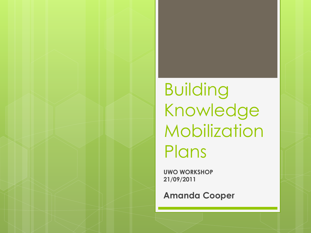Building Knowledge Mobilization Plans

**UWO WORKSHOP 21/09/2011** 

**Amanda Cooper**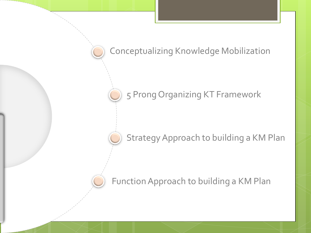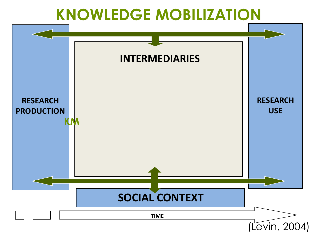#### **KNOWLEDGE MOBILIZATION**

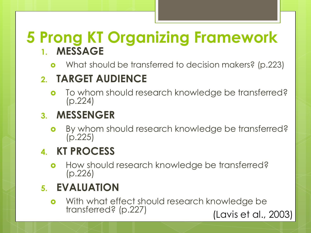#### **5 Prong KT Organizing Framework 1. MESSAGE**

**o** What should be transferred to decision makers? (p.223)

#### **2. TARGET AUDIENCE**

o To whom should research knowledge be transferred? (p.224)

#### **3. MESSENGER**

**o** By whom should research knowledge be transferred? (p.225)

#### **4. KT PROCESS**

**o** How should research knowledge be transferred? (p.226)

#### **5. EVALUATION**

**o** With what effect should research knowledge be transferred? (p.227) (Lavis et al., 2003)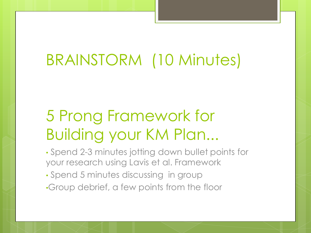### BRAINSTORM (10 Minutes)

### 5 Prong Framework for Building your KM Plan...

- Spend 2-3 minutes jotting down bullet points for your research using Lavis et al. Framework
- Spend 5 minutes discussing in group
- •Group debrief, a few points from the floor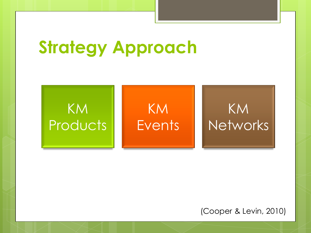# **Strategy Approach**



(Cooper & Levin, 2010)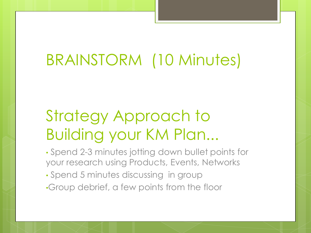### BRAINSTORM (10 Minutes)

### Strategy Approach to Building your KM Plan...

- Spend 2-3 minutes jotting down bullet points for your research using Products, Events, Networks
- Spend 5 minutes discussing in group
- •Group debrief, a few points from the floor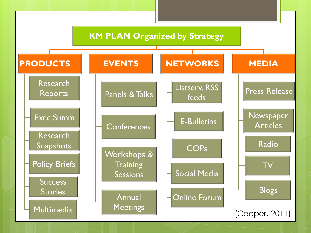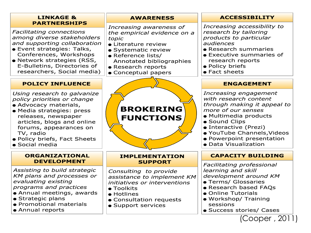

(Cooper , 2011)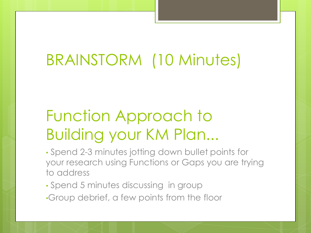## BRAINSTORM (10 Minutes)

### Function Approach to Building your KM Plan...

• Spend 2-3 minutes jotting down bullet points for your research using Functions or Gaps you are trying to address

- Spend 5 minutes discussing in group
- •Group debrief, a few points from the floor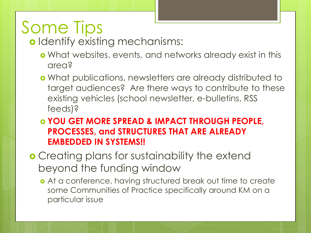# Some Tips

o Identify existing mechanisms:

- What websites, events, and networks already exist in this area?
- What publications, newsletters are already distributed to target audiences? Are there ways to contribute to these existing vehicles (school newsletter, e-bulletins, RSS feeds)?

 **YOU GET MORE SPREAD & IMPACT THROUGH PEOPLE, PROCESSES, and STRUCTURES THAT ARE ALREADY EMBEDDED IN SYSTEMS!!**

- **Creating plans for sustainability the extend** beyond the funding window
	- o At a conference, having structured break out time to create some Communities of Practice specifically around KM on a particular issue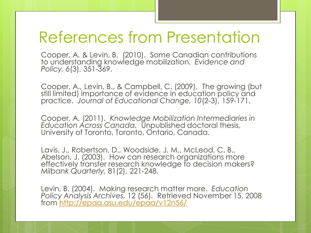#### References from Presentation

Cooper, A. & Levin, B. (2010). Some Canadian contributions to understanding knowledge mobilization. *Evidence and Policy, 6*(3), 351-369.

Cooper, A., Levin, B., & Campbell, C. (2009). The growing (but still limited) importance of evidence in education policy and practice. *Journal of Educational Change, 10*(2-3), 159-171.

Cooper, A. (2011). *Knowledge Mobilization Intermediaries in Education Across Canada.* Unpublished doctoral thesis, University of Toronto, Toronto, Ontario, Canada.

Lavis, J., Robertson, D., Woodside, J. M., McLeod, C. B., Abelson, J. (2003). How can research organizations more effectively transfer research knowledge to decision makers? *Milbank Quarterly,* 81(2), 221-248.

Levin, B. (2004). Making research matter more. *Education Policy Analysis Archives,* 12 (56). Retrieved November 15, 2008 from<http://epaa.asu.edu/epaa/v12n56/>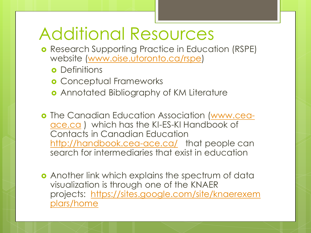### Additional Resources

- **o** Research Supporting Practice in Education (RSPE) website [\(www.oise.utoronto.ca/rspe](http://www.oise.utoronto.ca/rspe))
	- **o** Definitions
	- **o** Conceptual Frameworks
	- **o** Annotated Bibliography of KM Literature
- **o** The Canadian Education Association [\(www.cea](http://www.cea-ace.ca/)[ace.ca](http://www.cea-ace.ca/)) which has the KI-ES-KI Handbook of Contacts in Canadian Education <http://handbook.cea-ace.ca/>that people can search for intermediaries that exist in education
- **•** Another link which explains the spectrum of data visualization is through one of the KNAER projects: [https://sites.google.com/site/knaerexem](https://sites.google.com/site/knaerexemplars/home) [plars/home](https://sites.google.com/site/knaerexemplars/home)